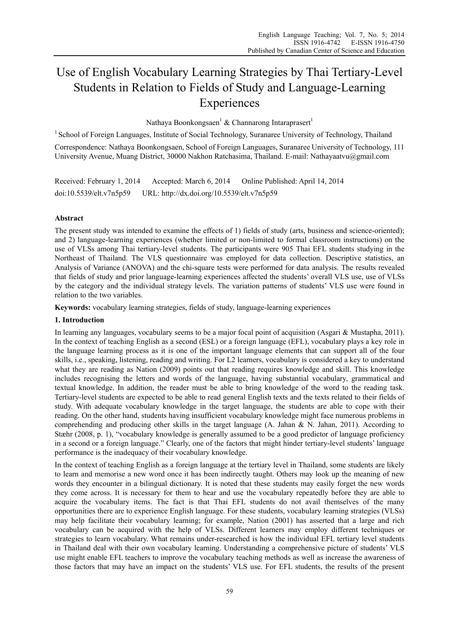# Use of English Vocabulary Learning Strategies by Thai Tertiary-Level Students in Relation to Fields of Study and Language-Learning Experiences

Nathaya Boonkongsaen<sup>1</sup> & Channarong Intaraprasert<sup>1</sup>

<sup>1</sup> School of Foreign Languages, Institute of Social Technology, Suranaree University of Technology, Thailand Correspondence: Nathaya Boonkongsaen, School of Foreign Languages, Suranaree University of Technology, 111 University Avenue, Muang District, 30000 Nakhon Ratchasima, Thailand. E-mail: Nathayaatvu@gmail.com

Received: February 1, 2014 Accepted: March 6, 2014 Online Published: April 14, 2014 doi:10.5539/elt.v7n5p59 URL: http://dx.doi.org/10.5539/elt.v7n5p59

# **Abstract**

The present study was intended to examine the effects of 1) fields of study (arts, business and science-oriented); and 2) language-learning experiences (whether limited or non-limited to formal classroom instructions) on the use of VLSs among Thai tertiary-level students. The participants were 905 Thai EFL students studying in the Northeast of Thailand. The VLS questionnaire was employed for data collection. Descriptive statistics, an Analysis of Variance (ANOVA) and the chi-square tests were performed for data analysis. The results revealed that fields of study and prior language-learning experiences affected the students' overall VLS use, use of VLSs by the category and the individual strategy levels. The variation patterns of students' VLS use were found in relation to the two variables.

**Keywords:** vocabulary learning strategies, fields of study, language-learning experiences

# **1. Introduction**

In learning any languages, vocabulary seems to be a major focal point of acquisition (Asgari & Mustapha, 2011). In the context of teaching English as a second (ESL) or a foreign language (EFL), vocabulary plays a key role in the language learning process as it is one of the important language elements that can support all of the four skills, i.e., speaking, listening, reading and writing. For L2 learners, vocabulary is considered a key to understand what they are reading as Nation (2009) points out that reading requires knowledge and skill. This knowledge includes recognising the letters and words of the language, having substantial vocabulary, grammatical and textual knowledge. In addition, the reader must be able to bring knowledge of the word to the reading task. Tertiary-level students are expected to be able to read general English texts and the texts related to their fields of study. With adequate vocabulary knowledge in the target language, the students are able to cope with their reading. On the other hand, students having insufficient vocabulary knowledge might face numerous problems in comprehending and producing other skills in the target language  $(A, \text{Jahan } \& \text{N. Jahan}, 2011)$ . According to Stæhr (2008, p. 1), "vocabulary knowledge is generally assumed to be a good predictor of language proficiency in a second or a foreign language." Clearly, one of the factors that might hinder tertiary-level students' language performance is the inadequacy of their vocabulary knowledge.

In the context of teaching English as a foreign language at the tertiary level in Thailand, some students are likely to learn and memorise a new word once it has been indirectly taught. Others may look up the meaning of new words they encounter in a bilingual dictionary. It is noted that these students may easily forget the new words they come across. It is necessary for them to hear and use the vocabulary repeatedly before they are able to acquire the vocabulary items. The fact is that Thai EFL students do not avail themselves of the many opportunities there are to experience English language. For these students, vocabulary learning strategies (VLSs) may help facilitate their vocabulary learning; for example, Nation (2001) has asserted that a large and rich vocabulary can be acquired with the help of VLSs. Different learners may employ different techniques or strategies to learn vocabulary. What remains under-researched is how the individual EFL tertiary level students in Thailand deal with their own vocabulary learning. Understanding a comprehensive picture of students' VLS use might enable EFL teachers to improve the vocabulary teaching methods as well as increase the awareness of those factors that may have an impact on the students' VLS use. For EFL students, the results of the present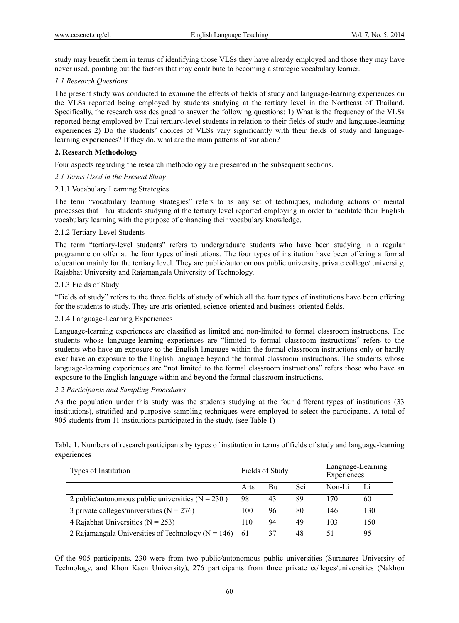study may benefit them in terms of identifying those VLSs they have already employed and those they may have never used, pointing out the factors that may contribute to becoming a strategic vocabulary learner.

### *1.1 Research Questions*

The present study was conducted to examine the effects of fields of study and language-learning experiences on the VLSs reported being employed by students studying at the tertiary level in the Northeast of Thailand. Specifically, the research was designed to answer the following questions: 1) What is the frequency of the VLSs reported being employed by Thai tertiary-level students in relation to their fields of study and language-learning experiences 2) Do the students' choices of VLSs vary significantly with their fields of study and languagelearning experiences? If they do, what are the main patterns of variation?

# **2. Research Methodology**

Four aspects regarding the research methodology are presented in the subsequent sections.

# *2.1 Terms Used in the Present Study*

# 2.1.1 Vocabulary Learning Strategies

The term "vocabulary learning strategies" refers to as any set of techniques, including actions or mental processes that Thai students studying at the tertiary level reported employing in order to facilitate their English vocabulary learning with the purpose of enhancing their vocabulary knowledge.

### 2.1.2 Tertiary-Level Students

The term "tertiary-level students" refers to undergraduate students who have been studying in a regular programme on offer at the four types of institutions. The four types of institution have been offering a formal education mainly for the tertiary level. They are public/autonomous public university, private college/ university, Rajabhat University and Rajamangala University of Technology.

## 2.1.3 Fields of Study

"Fields of study" refers to the three fields of study of which all the four types of institutions have been offering for the students to study. They are arts-oriented, science-oriented and business-oriented fields.

### 2.1.4 Language-Learning Experiences

Language-learning experiences are classified as limited and non-limited to formal classroom instructions. The students whose language-learning experiences are "limited to formal classroom instructions" refers to the students who have an exposure to the English language within the formal classroom instructions only or hardly ever have an exposure to the English language beyond the formal classroom instructions. The students whose language-learning experiences are "not limited to the formal classroom instructions" refers those who have an exposure to the English language within and beyond the formal classroom instructions.

### *2.2 Participants and Sampling Procedures*

As the population under this study was the students studying at the four different types of institutions (33 institutions), stratified and purposive sampling techniques were employed to select the participants. A total of 905 students from 11 institutions participated in the study. (see Table 1)

Table 1. Numbers of research participants by types of institution in terms of fields of study and language-learning experiences

| Types of Institution                                   |      | Fields of Study |     |        | Language-Learning<br>Experiences |  |  |
|--------------------------------------------------------|------|-----------------|-----|--------|----------------------------------|--|--|
|                                                        | Arts | Bu              | Sci | Non-Li | $\mathbf{L}$                     |  |  |
| 2 public/autonomous public universities $(N = 230)$    | 98   | 43              | 89  | 170    | 60                               |  |  |
| 3 private colleges/universities ( $N = 276$ )          | 100  | 96              | 80  | 146    | 130                              |  |  |
| 4 Rajabhat Universities ( $N = 253$ )                  | 110  | 94              | 49  | 103    | 150                              |  |  |
| 2 Rajamangala Universities of Technology ( $N = 146$ ) | -61  | 37              | 48  | 51     | 95                               |  |  |

Of the 905 participants, 230 were from two public/autonomous public universities (Suranaree University of Technology, and Khon Kaen University), 276 participants from three private colleges/universities (Nakhon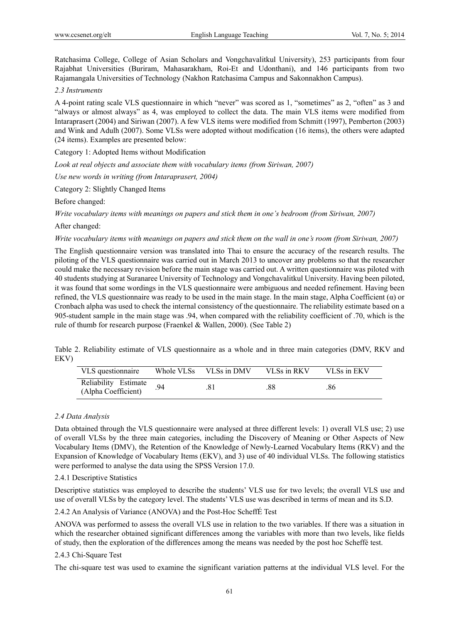Ratchasima College, College of Asian Scholars and Vongchavalitkul University), 253 participants from four Rajabhat Universities (Buriram, Mahasarakham, Roi-Et and Udonthani), and 146 participants from two Rajamangala Universities of Technology (Nakhon Ratchasima Campus and Sakonnakhon Campus).

## *2.3 Instruments*

A 4-point rating scale VLS questionnaire in which "never" was scored as 1, "sometimes" as 2, "often" as 3 and "always or almost always" as 4, was employed to collect the data. The main VLS items were modified from Intaraprasert (2004) and Siriwan (2007). A few VLS items were modified from Schmitt (1997), Pemberton (2003) and Wink and Adulh (2007). Some VLSs were adopted without modification (16 items), the others were adapted (24 items). Examples are presented below:

Category 1: Adopted Items without Modification

*Look at real objects and associate them with vocabulary items (from Siriwan, 2007)* 

*Use new words in writing (from Intaraprasert, 2004)* 

Category 2: Slightly Changed Items

Before changed:

*Write vocabulary items with meanings on papers and stick them in one's bedroom (from Siriwan, 2007)* 

#### After changed:

*Write vocabulary items with meanings on papers and stick them on the wall in one's room (from Siriwan, 2007)* 

The English questionnaire version was translated into Thai to ensure the accuracy of the research results. The piloting of the VLS questionnaire was carried out in March 2013 to uncover any problems so that the researcher could make the necessary revision before the main stage was carried out. A written questionnaire was piloted with 40 students studying at Suranaree University of Technology and Vongchavalitkul University. Having been piloted, it was found that some wordings in the VLS questionnaire were ambiguous and needed refinement. Having been refined, the VLS questionnaire was ready to be used in the main stage. In the main stage, Alpha Coefficient (α) or Cronbach alpha was used to check the internal consistency of the questionnaire. The reliability estimate based on a 905-student sample in the main stage was .94, when compared with the reliability coefficient of .70, which is the rule of thumb for research purpose (Fraenkel & Wallen, 2000). (See Table 2)

Table 2. Reliability estimate of VLS questionnaire as a whole and in three main categories (DMV, RKV and EKV)

| VLS questionnaire                           | Whole VLSs | VLSs in DMV | VLSs in RKV | VLSs in EKV |
|---------------------------------------------|------------|-------------|-------------|-------------|
| Reliability Estimate<br>(Alpha Coefficient) |            | 81          | 88          | 86          |

### *2.4 Data Analysis*

Data obtained through the VLS questionnaire were analysed at three different levels: 1) overall VLS use; 2) use of overall VLSs by the three main categories, including the Discovery of Meaning or Other Aspects of New Vocabulary Items (DMV), the Retention of the Knowledge of Newly-Learned Vocabulary Items (RKV) and the Expansion of Knowledge of Vocabulary Items (EKV), and 3) use of 40 individual VLSs. The following statistics were performed to analyse the data using the SPSS Version 17.0.

### 2.4.1 Descriptive Statistics

Descriptive statistics was employed to describe the students' VLS use for two levels; the overall VLS use and use of overall VLSs by the category level. The students' VLS use was described in terms of mean and its S.D.

2.4.2 An Analysis of Variance (ANOVA) and the Post-Hoc ScheffÉ Test

ANOVA was performed to assess the overall VLS use in relation to the two variables. If there was a situation in which the researcher obtained significant differences among the variables with more than two levels, like fields of study, then the exploration of the differences among the means was needed by the post hoc Scheffé test.

## 2.4.3 Chi-Square Test

The chi-square test was used to examine the significant variation patterns at the individual VLS level. For the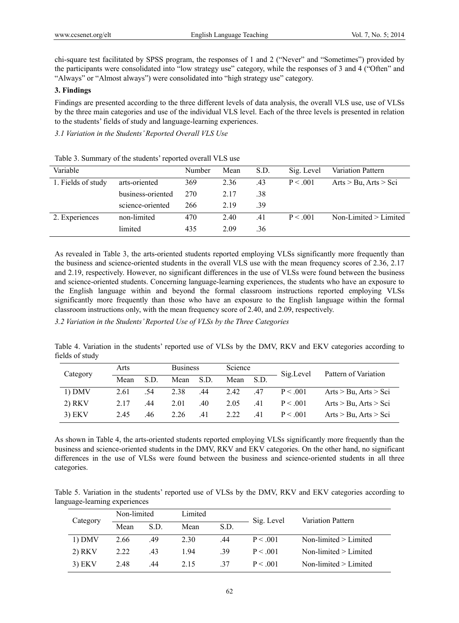chi-square test facilitated by SPSS program, the responses of 1 and 2 ("Never" and "Sometimes") provided by the participants were consolidated into "low strategy use" category, while the responses of 3 and 4 ("Often" and "Always" or "Almost always") were consolidated into "high strategy use" category.

# **3. Findings**

Findings are presented according to the three different levels of data analysis, the overall VLS use, use of VLSs by the three main categories and use of the individual VLS level. Each of the three levels is presented in relation to the students' fields of study and language-learning experiences.

*3.1 Variation in the Students' Reported Overall VLS Use* 

| Variable           |                   | Number | Mean | S.D. | Sig. Level | Variation Pattern          |
|--------------------|-------------------|--------|------|------|------------|----------------------------|
| 1. Fields of study | arts-oriented     | 369    | 2.36 | .43  | P < 0.01   | $Arts > Bu$ , $Arts > Sci$ |
|                    | business-oriented | 270    | 2.17 | .38  |            |                            |
|                    | science-oriented  | 266    | 2.19 | .39  |            |                            |
| 2. Experiences     | non-limited       | 470    | 2.40 | .41  | P < 0.01   | Non-Limited $>$ Limited    |
|                    | limited           | 435    | 2.09 | .36  |            |                            |

Table 3. Summary of the students' reported overall VLS use

As revealed in Table 3, the arts-oriented students reported employing VLSs significantly more frequently than the business and science-oriented students in the overall VLS use with the mean frequency scores of 2.36, 2.17 and 2.19, respectively. However, no significant differences in the use of VLSs were found between the business and science-oriented students. Concerning language-learning experiences, the students who have an exposure to the English language within and beyond the formal classroom instructions reported employing VLSs significantly more frequently than those who have an exposure to the English language within the formal classroom instructions only, with the mean frequency score of 2.40, and 2.09, respectively.

*3.2 Variation in the Students' Reported Use of VLSs by the Three Categories* 

Table 4. Variation in the students' reported use of VLSs by the DMV, RKV and EKV categories according to fields of study

| Category | Arts |      | <b>Business</b> |      | Science |      | Sig.Level | Pattern of Variation       |  |
|----------|------|------|-----------------|------|---------|------|-----------|----------------------------|--|
|          | Mean | S.D. | Mean            | S.D. | Mean    | S.D. |           |                            |  |
| $1)$ DMV | 2.61 | .54  | 2.38            | .44  | 2.42    | .47  | P < 0.01  | $Arts > Bu$ , $Arts > Sci$ |  |
| $2)$ RKV | 2.17 | .44  | 2.01            | .40  | 2.05    | .41  | P < 0.01  | $Arts > Bu$ , $Arts > Sci$ |  |
| $3)$ EKV | 2.45 | .46  | 2.26            | .41  | 2.22    | .41  | P < 0.01  | $Arts > Bu$ , $Arts > Sci$ |  |

As shown in Table 4, the arts-oriented students reported employing VLSs significantly more frequently than the business and science-oriented students in the DMV, RKV and EKV categories. On the other hand, no significant differences in the use of VLSs were found between the business and science-oriented students in all three categories.

Table 5. Variation in the students' reported use of VLSs by the DMV, RKV and EKV categories according to language-learning experiences

| Category |      | Non-limited |      | Limited |            | Variation Pattern       |  |
|----------|------|-------------|------|---------|------------|-------------------------|--|
|          | Mean | S D         | Mean | S.D.    | Sig. Level |                         |  |
| $1)$ DMV | 2.66 | .49         | 2.30 | .44     | P < 0.01   | Non-limited $>$ Limited |  |
| $2)$ RKV | 2.22 | .43         | 1.94 | .39     | P < 0.01   | Non-limited $>$ Limited |  |
| $3)$ EKV | 2.48 | .44         | 2.15 | -37     | P < 0.01   | Non-limited $>$ Limited |  |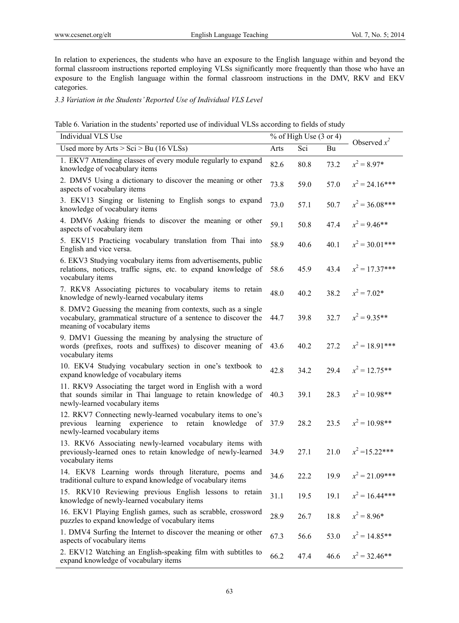In relation to experiences, the students who have an exposure to the English language within and beyond the formal classroom instructions reported employing VLSs significantly more frequently than those who have an exposure to the English language within the formal classroom instructions in the DMV, RKV and EKV categories.

*3.3 Variation in the Students' Reported Use of Individual VLS Level*

| Table 6. Variation in the students' reported use of individual VLSs according to fields of study |  |  |  |
|--------------------------------------------------------------------------------------------------|--|--|--|
|--------------------------------------------------------------------------------------------------|--|--|--|

| <b>Individual VLS Use</b>                                                                                                                                      |      | $%$ of High Use (3 or 4) | Observed $x^2$ |                       |
|----------------------------------------------------------------------------------------------------------------------------------------------------------------|------|--------------------------|----------------|-----------------------|
| Used more by Arts $>$ Sci $>$ Bu (16 VLSs)                                                                                                                     | Arts | Sci                      | Bu             |                       |
| 1. EKV7 Attending classes of every module regularly to expand<br>knowledge of vocabulary items                                                                 | 82.6 | 80.8                     | 73.2           | $x^2 = 8.97*$         |
| 2. DMV5 Using a dictionary to discover the meaning or other<br>aspects of vocabulary items                                                                     | 73.8 | 59.0                     | 57.0           | $x^2 = 24.16$ ***     |
| 3. EKV13 Singing or listening to English songs to expand<br>knowledge of vocabulary items                                                                      | 73.0 | 57.1                     | 50.7           | $x^2$ = 36.08***      |
| 4. DMV6 Asking friends to discover the meaning or other<br>aspects of vocabulary item                                                                          | 59.1 | 50.8                     | 47.4           | $x^2 = 9.46$ **       |
| 5. EKV15 Practicing vocabulary translation from Thai into<br>English and vice versa.                                                                           | 58.9 | 40.6                     | 40.1           | $x^2$ = 30.01***      |
| 6. EKV3 Studying vocabulary items from advertisements, public<br>relations, notices, traffic signs, etc. to expand knowledge of<br>vocabulary items            | 58.6 | 45.9                     | 43.4           | $x^2 = 17.37***$      |
| 7. RKV8 Associating pictures to vocabulary items to retain<br>knowledge of newly-learned vocabulary items                                                      | 48.0 | 40.2                     | 38.2           | $x^2 = 7.02*$         |
| 8. DMV2 Guessing the meaning from contexts, such as a single<br>vocabulary, grammatical structure of a sentence to discover the<br>meaning of vocabulary items | 44.7 | 39.8                     | 32.7           | $x^2 = 9.35**$        |
| 9. DMV1 Guessing the meaning by analysing the structure of<br>words (prefixes, roots and suffixes) to discover meaning of<br>vocabulary items                  | 43.6 | 40.2                     | 27.2           | $x^2 = 18.91$ ***     |
| 10. EKV4 Studying vocabulary section in one's textbook to<br>expand knowledge of vocabulary items                                                              | 42.8 | 34.2                     | 29.4           | $x^2 = 12.75**$       |
| 11. RKV9 Associating the target word in English with a word<br>that sounds similar in Thai language to retain knowledge of<br>newly-learned vocabulary items   | 40.3 | 39.1                     | 28.3           | $x^2 = 10.98**$       |
| 12. RKV7 Connecting newly-learned vocabulary items to one's<br>learning experience<br>to retain knowledge of<br>previous<br>newly-learned vocabulary items     | 37.9 | 28.2                     | 23.5           | $x^2 = 10.98**$       |
| 13. RKV6 Associating newly-learned vocabulary items with<br>previously-learned ones to retain knowledge of newly-learned<br>vocabulary items                   | 34.9 | 27.1                     | 21.0           | $x^2 = 15.22$ ***     |
| 14. EKV8 Learning words through literature, poems and<br>traditional culture to expand knowledge of vocabulary items                                           | 34.6 | 22.2                     |                | 19.9 $x^2 = 21.09***$ |
| 15. RKV10 Reviewing previous English lessons to retain<br>knowledge of newly-learned vocabulary items                                                          | 31.1 | 19.5                     | 19.1           | $x^2 = 16.44$ ***     |
| 16. EKV1 Playing English games, such as scrabble, crossword<br>puzzles to expand knowledge of vocabulary items                                                 | 28.9 | 26.7                     | 18.8           | $x^2 = 8.96*$         |
| 1. DMV4 Surfing the Internet to discover the meaning or other<br>aspects of vocabulary items                                                                   | 67.3 | 56.6                     | 53.0           | $x^2 = 14.85**$       |
| 2. EKV12 Watching an English-speaking film with subtitles to<br>expand knowledge of vocabulary items                                                           | 66.2 | 47.4                     | 46.6           | $x^2$ = 32.46**       |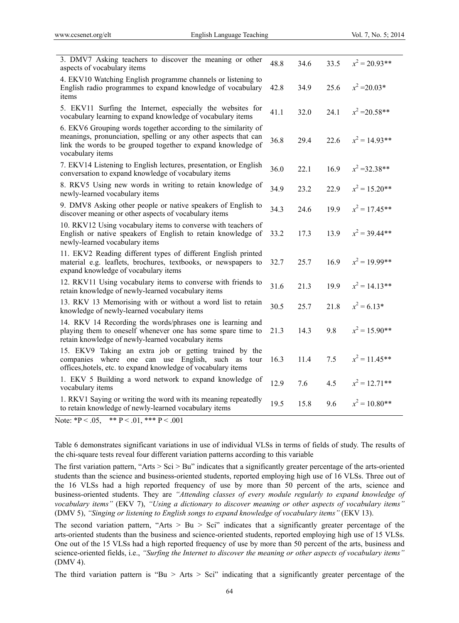| 3. DMV7 Asking teachers to discover the meaning or other<br>aspects of vocabulary items                                                                                                                               | 48.8 | 34.6 | 33.5 | $x^2 = 20.93**$  |
|-----------------------------------------------------------------------------------------------------------------------------------------------------------------------------------------------------------------------|------|------|------|------------------|
| 4. EKV10 Watching English programme channels or listening to<br>English radio programmes to expand knowledge of vocabulary<br>items                                                                                   | 42.8 | 34.9 | 25.6 | $x^2 = 20.03*$   |
| 5. EKV11 Surfing the Internet, especially the websites for<br>vocabulary learning to expand knowledge of vocabulary items                                                                                             | 41.1 | 32.0 | 24.1 | $x^2 = 20.58**$  |
| 6. EKV6 Grouping words together according to the similarity of<br>meanings, pronunciation, spelling or any other aspects that can<br>link the words to be grouped together to expand knowledge of<br>vocabulary items | 36.8 | 29.4 | 22.6 | $x^2 = 14.93**$  |
| 7. EKV14 Listening to English lectures, presentation, or English<br>conversation to expand knowledge of vocabulary items                                                                                              | 36.0 | 22.1 | 16.9 | $x^2 = 32.38**$  |
| 8. RKV5 Using new words in writing to retain knowledge of<br>newly-learned vocabulary items                                                                                                                           | 34.9 | 23.2 | 22.9 | $x^2 = 15.20**$  |
| 9. DMV8 Asking other people or native speakers of English to<br>discover meaning or other aspects of vocabulary items                                                                                                 | 34.3 | 24.6 | 19.9 | $x^2 = 17.45**$  |
| 10. RKV12 Using vocabulary items to converse with teachers of<br>English or native speakers of English to retain knowledge of<br>newly-learned vocabulary items                                                       | 33.2 | 17.3 | 13.9 | $x^2$ = 39.44**  |
| 11. EKV2 Reading different types of different English printed<br>material e.g. leaflets, brochures, textbooks, or newspapers to<br>expand knowledge of vocabulary items                                               | 32.7 | 25.7 | 16.9 | $x^2 = 19.99$ ** |
| 12. RKV11 Using vocabulary items to converse with friends to<br>retain knowledge of newly-learned vocabulary items                                                                                                    | 31.6 | 21.3 | 19.9 | $x^2 = 14.13**$  |
| 13. RKV 13 Memorising with or without a word list to retain<br>knowledge of newly-learned vocabulary items                                                                                                            | 30.5 | 25.7 | 21.8 | $x^2 = 6.13*$    |
| 14. RKV 14 Recording the words/phrases one is learning and<br>playing them to oneself whenever one has some spare time to<br>retain knowledge of newly-learned vocabulary items                                       | 21.3 | 14.3 | 9.8  | $x^2 = 15.90**$  |
| 15. EKV9 Taking an extra job or getting trained by the<br>companies where one can use English, such as tour<br>offices, hotels, etc. to expand knowledge of vocabulary items                                          | 16.3 | 11.4 | 7.5  | $x^2 = 11.45**$  |
| 1. EKV 5 Building a word network to expand knowledge of<br>vocabulary items                                                                                                                                           | 12.9 | 7.6  | 4.5  | $x^2 = 12.71**$  |
| 1. RKV1 Saying or writing the word with its meaning repeatedly<br>to retain knowledge of newly-learned vocabulary items                                                                                               | 19.5 | 15.8 | 9.6  | $x^2 = 10.80**$  |

Note: \*P < .05, \*\* P < .01, \*\*\* P < .001

Table 6 demonstrates significant variations in use of individual VLSs in terms of fields of study. The results of the chi-square tests reveal four different variation patterns according to this variable

The first variation pattern, "Arts  $>$  Sci  $>$  Bu" indicates that a significantly greater percentage of the arts-oriented students than the science and business-oriented students, reported employing high use of 16 VLSs. Three out of the 16 VLSs had a high reported frequency of use by more than 50 percent of the arts, science and business-oriented students. They are *"Attending classes of every module regularly to expand knowledge of vocabulary items"* (EKV 7), *"Using a dictionary to discover meaning or other aspects of vocabulary items"*  (DMV 5), *"Singing or listening to English songs to expand knowledge of vocabulary items"* (EKV 13).

The second variation pattern, "Arts  $> Bu > Sci$ " indicates that a significantly greater percentage of the arts-oriented students than the business and science-oriented students, reported employing high use of 15 VLSs. One out of the 15 VLSs had a high reported frequency of use by more than 50 percent of the arts, business and science-oriented fields, i.e., *"Surfing the Internet to discover the meaning or other aspects of vocabulary items"*  (DMV 4).

The third variation pattern is "Bu  $>$  Arts  $>$  Sci" indicating that a significantly greater percentage of the

64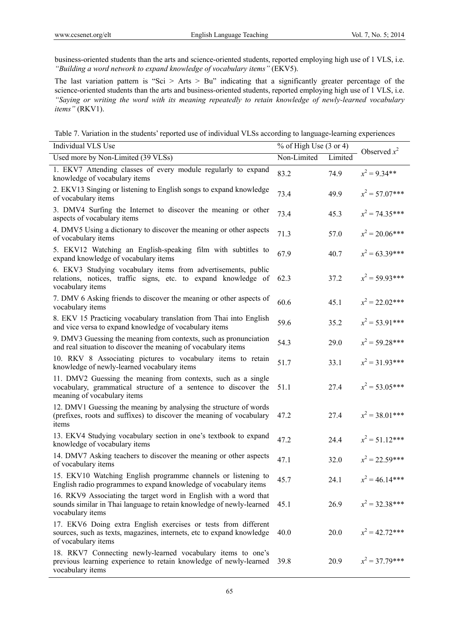business-oriented students than the arts and science-oriented students, reported employing high use of 1 VLS, i.e. *"Building a word network to expand knowledge of vocabulary items"* (EKV5).

The last variation pattern is "Sci > Arts > Bu" indicating that a significantly greater percentage of the science-oriented students than the arts and business-oriented students, reported employing high use of 1 VLS, i.e. *"Saying or writing the word with its meaning repeatedly to retain knowledge of newly-learned vocabulary items"* (RKV1).

|  | Table 7. Variation in the students' reported use of individual VLSs according to language-learning experiences |  |  |  |
|--|----------------------------------------------------------------------------------------------------------------|--|--|--|
|  |                                                                                                                |  |  |  |
|  |                                                                                                                |  |  |  |

| <b>Individual VLS Use</b>                                                                                                                                       | $%$ of High Use (3 or 4) |         |                   |
|-----------------------------------------------------------------------------------------------------------------------------------------------------------------|--------------------------|---------|-------------------|
| Used more by Non-Limited (39 VLSs)                                                                                                                              | Non-Limited              | Limited | Observed $x^2$    |
| 1. EKV7 Attending classes of every module regularly to expand<br>knowledge of vocabulary items                                                                  | 83.2                     | 74.9    | $x^2 = 9.34**$    |
| 2. EKV13 Singing or listening to English songs to expand knowledge<br>of vocabulary items                                                                       | 73.4                     | 49.9    | $x^2 = 57.07$ *** |
| 3. DMV4 Surfing the Internet to discover the meaning or other<br>aspects of vocabulary items                                                                    | 73.4                     | 45.3    | $x^2$ = 74.35***  |
| 4. DMV5 Using a dictionary to discover the meaning or other aspects<br>of vocabulary items                                                                      | 71.3                     | 57.0    | $x^2 = 20.06$ *** |
| 5. EKV12 Watching an English-speaking film with subtitles to<br>expand knowledge of vocabulary items                                                            | 67.9                     | 40.7    | $x^2$ = 63.39***  |
| 6. EKV3 Studying vocabulary items from advertisements, public<br>relations, notices, traffic signs, etc. to expand knowledge of<br>vocabulary items             | 62.3                     | 37.2    | $x^2$ = 59.93***  |
| 7. DMV 6 Asking friends to discover the meaning or other aspects of<br>vocabulary items                                                                         | 60.6                     | 45.1    | $x^2 = 22.02$ *** |
| 8. EKV 15 Practicing vocabulary translation from Thai into English<br>and vice versa to expand knowledge of vocabulary items                                    | 59.6                     | 35.2    | $x^2$ = 53.91***  |
| 9. DMV3 Guessing the meaning from contexts, such as pronunciation<br>and real situation to discover the meaning of vocabulary items                             | 54.3                     | 29.0    | $x^2$ = 59.28***  |
| 10. RKV 8 Associating pictures to vocabulary items to retain<br>knowledge of newly-learned vocabulary items                                                     | 51.7                     | 33.1    | $x^2$ = 31.93***  |
| 11. DMV2 Guessing the meaning from contexts, such as a single<br>vocabulary, grammatical structure of a sentence to discover the<br>meaning of vocabulary items | 51.1                     | 27.4    | $x^2$ = 53.05***  |
| 12. DMV1 Guessing the meaning by analysing the structure of words<br>(prefixes, roots and suffixes) to discover the meaning of vocabulary<br>items              | 47.2                     | 27.4    | $x^2$ = 38.01***  |
| 13. EKV4 Studying vocabulary section in one's textbook to expand<br>knowledge of vocabulary items                                                               | 47.2                     | 24.4    | $x^2 = 51.12$ *** |
| 14. DMV7 Asking teachers to discover the meaning or other aspects<br>of vocabulary items                                                                        | 47.1                     | 32.0    | $x^2 = 22.59$ *** |
| 15. EKV10 Watching English programme channels or listening to<br>English radio programmes to expand knowledge of vocabulary items                               | 45.7                     | 24.1    | $x^2 = 46.14***$  |
| 16. RKV9 Associating the target word in English with a word that<br>sounds similar in Thai language to retain knowledge of newly-learned<br>vocabulary items    | 45.1                     | 26.9    | $x^2$ = 32.38***  |
| 17. EKV6 Doing extra English exercises or tests from different<br>sources, such as texts, magazines, internets, etc to expand knowledge<br>of vocabulary items  | 40.0                     | 20.0    | $x^2 = 42.72$ *** |
| 18. RKV7 Connecting newly-learned vocabulary items to one's<br>previous learning experience to retain knowledge of newly-learned<br>vocabulary items            | 39.8                     | 20.9    | $x^2$ = 37.79***  |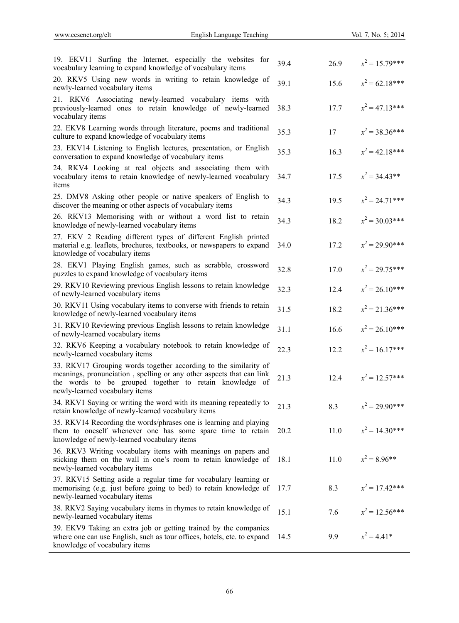| 19. EKV11 Surfing the Internet, especially the websites for<br>vocabulary learning to expand knowledge of vocabulary items                                                                                                            | 39.4 | 26.9 | $x^2 = 15.79$ *** |
|---------------------------------------------------------------------------------------------------------------------------------------------------------------------------------------------------------------------------------------|------|------|-------------------|
| 20. RKV5 Using new words in writing to retain knowledge of<br>newly-learned vocabulary items                                                                                                                                          | 39.1 | 15.6 | $x^2$ = 62.18***  |
| 21. RKV6 Associating newly-learned vocabulary items with<br>previously-learned ones to retain knowledge of newly-learned<br>vocabulary items                                                                                          | 38.3 | 17.7 | $x^2 = 47.13***$  |
| 22. EKV8 Learning words through literature, poems and traditional<br>culture to expand knowledge of vocabulary items                                                                                                                  | 35.3 | 17   | $x^2$ = 38.36***  |
| 23. EKV14 Listening to English lectures, presentation, or English<br>conversation to expand knowledge of vocabulary items                                                                                                             | 35.3 | 16.3 | $x^2 = 42.18$ *** |
| 24. RKV4 Looking at real objects and associating them with<br>vocabulary items to retain knowledge of newly-learned vocabulary<br>items                                                                                               | 34.7 | 17.5 | $x^2 = 34.43**$   |
| 25. DMV8 Asking other people or native speakers of English to<br>discover the meaning or other aspects of vocabulary items                                                                                                            | 34.3 | 19.5 | $x^2 = 24.71$ *** |
| 26. RKV13 Memorising with or without a word list to retain<br>knowledge of newly-learned vocabulary items                                                                                                                             | 34.3 | 18.2 | $x^2$ = 30.03***  |
| 27. EKV 2 Reading different types of different English printed<br>material e.g. leaflets, brochures, textbooks, or newspapers to expand<br>knowledge of vocabulary items                                                              | 34.0 | 17.2 | $x^2 = 29.90$ *** |
| 28. EKV1 Playing English games, such as scrabble, crossword<br>puzzles to expand knowledge of vocabulary items                                                                                                                        | 32.8 | 17.0 | $x^2 = 29.75***$  |
| 29. RKV10 Reviewing previous English lessons to retain knowledge<br>of newly-learned vocabulary items                                                                                                                                 | 32.3 | 12.4 | $x^2 = 26.10$ *** |
| 30. RKV11 Using vocabulary items to converse with friends to retain<br>knowledge of newly-learned vocabulary items                                                                                                                    | 31.5 | 18.2 | $x^2 = 21.36$ *** |
| 31. RKV10 Reviewing previous English lessons to retain knowledge<br>of newly-learned vocabulary items                                                                                                                                 | 31.1 | 16.6 | $x^2 = 26.10***$  |
| 32. RKV6 Keeping a vocabulary notebook to retain knowledge of<br>newly-learned vocabulary items                                                                                                                                       | 22.3 | 12.2 | $x^2 = 16.17$ *** |
| 33. RKV17 Grouping words together according to the similarity of<br>meanings, pronunciation, spelling or any other aspects that can link<br>the words to be grouped together to retain knowledge of<br>newly-learned vocabulary items | 21.3 | 12.4 | $x^2 = 12.57$ *** |
| 34. RKV1 Saying or writing the word with its meaning repeatedly to<br>retain knowledge of newly-learned vocabulary items                                                                                                              | 21.3 | 8.3  | $x^2 = 29.90$ *** |
| 35. RKV14 Recording the words/phrases one is learning and playing<br>them to oneself whenever one has some spare time to retain<br>knowledge of newly-learned vocabulary items                                                        | 20.2 | 11.0 | $x^2 = 14.30***$  |
| 36. RKV3 Writing vocabulary items with meanings on papers and<br>sticking them on the wall in one's room to retain knowledge of<br>newly-learned vocabulary items                                                                     | 18.1 | 11.0 | $x^2 = 8.96**$    |
| 37. RKV15 Setting aside a regular time for vocabulary learning or<br>memorising (e.g. just before going to bed) to retain knowledge of<br>newly-learned vocabulary items                                                              | 17.7 | 8.3  | $x^2 = 17.42$ *** |
| 38. RKV2 Saying vocabulary items in rhymes to retain knowledge of<br>newly-learned vocabulary items                                                                                                                                   | 15.1 | 7.6  | $x^2 = 12.56$ *** |
| 39. EKV9 Taking an extra job or getting trained by the companies<br>where one can use English, such as tour offices, hotels, etc. to expand<br>knowledge of vocabulary items                                                          | 14.5 | 9.9  | $x^2 = 4.41*$     |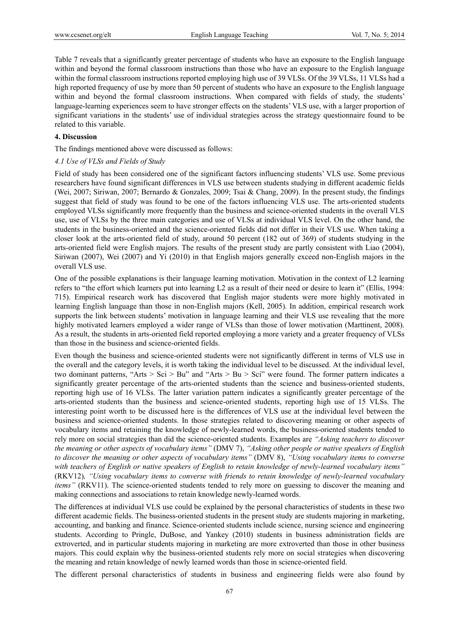Table 7 reveals that a significantly greater percentage of students who have an exposure to the English language within and beyond the formal classroom instructions than those who have an exposure to the English language within the formal classroom instructions reported employing high use of 39 VLSs. Of the 39 VLSs, 11 VLSs had a high reported frequency of use by more than 50 percent of students who have an exposure to the English language within and beyond the formal classroom instructions. When compared with fields of study, the students' language-learning experiences seem to have stronger effects on the students' VLS use, with a larger proportion of significant variations in the students' use of individual strategies across the strategy questionnaire found to be related to this variable.

#### **4. Discussion**

The findings mentioned above were discussed as follows:

#### *4.1 Use of VLSs and Fields of Study*

Field of study has been considered one of the significant factors influencing students' VLS use. Some previous researchers have found significant differences in VLS use between students studying in different academic fields (Wei, 2007; Siriwan, 2007; Bernardo & Gonzales, 2009; Tsai & Chang, 2009). In the present study, the findings suggest that field of study was found to be one of the factors influencing VLS use. The arts-oriented students employed VLSs significantly more frequently than the business and science-oriented students in the overall VLS use, use of VLSs by the three main categories and use of VLSs at individual VLS level. On the other hand, the students in the business-oriented and the science-oriented fields did not differ in their VLS use. When taking a closer look at the arts-oriented field of study, around 50 percent (182 out of 369) of students studying in the arts-oriented field were English majors. The results of the present study are partly consistent with Liao (2004), Siriwan (2007), Wei (2007) and Yi (2010) in that English majors generally exceed non-English majors in the overall VLS use.

One of the possible explanations is their language learning motivation. Motivation in the context of L2 learning refers to "the effort which learners put into learning L2 as a result of their need or desire to learn it" (Ellis, 1994: 715). Empirical research work has discovered that English major students were more highly motivated in learning English language than those in non-English majors (Kell, 2005). In addition, empirical research work supports the link between students' motivation in language learning and their VLS use revealing that the more highly motivated learners employed a wider range of VLSs than those of lower motivation (Marttinent, 2008). As a result, the students in arts-oriented field reported employing a more variety and a greater frequency of VLSs than those in the business and science-oriented fields.

Even though the business and science-oriented students were not significantly different in terms of VLS use in the overall and the category levels, it is worth taking the individual level to be discussed. At the individual level, two dominant patterns, "Arts > Sci > Bu" and "Arts > Bu > Sci" were found. The former pattern indicates a significantly greater percentage of the arts-oriented students than the science and business-oriented students, reporting high use of 16 VLSs. The latter variation pattern indicates a significantly greater percentage of the arts-oriented students than the business and science-oriented students, reporting high use of 15 VLSs. The interesting point worth to be discussed here is the differences of VLS use at the individual level between the business and science-oriented students. In those strategies related to discovering meaning or other aspects of vocabulary items and retaining the knowledge of newly-learned words, the business-oriented students tended to rely more on social strategies than did the science-oriented students. Examples are *"Asking teachers to discover the meaning or other aspects of vocabulary items"* (DMV 7), *"Asking other people or native speakers of English to discover the meaning or other aspects of vocabulary items"* (DMV 8), *"Using vocabulary items to converse with teachers of English or native speakers of English to retain knowledge of newly-learned vocabulary items"*  (RKV12)*, "Using vocabulary items to converse with friends to retain knowledge of newly-learned vocabulary items*" (RKV11). The science-oriented students tended to rely more on guessing to discover the meaning and making connections and associations to retain knowledge newly-learned words.

The differences at individual VLS use could be explained by the personal characteristics of students in these two different academic fields. The business-oriented students in the present study are students majoring in marketing, accounting, and banking and finance. Science-oriented students include science, nursing science and engineering students. According to Pringle, DuBose, and Yankey (2010) students in business administration fields are extroverted, and in particular students majoring in marketing are more extroverted than those in other business majors. This could explain why the business-oriented students rely more on social strategies when discovering the meaning and retain knowledge of newly learned words than those in science-oriented field.

The different personal characteristics of students in business and engineering fields were also found by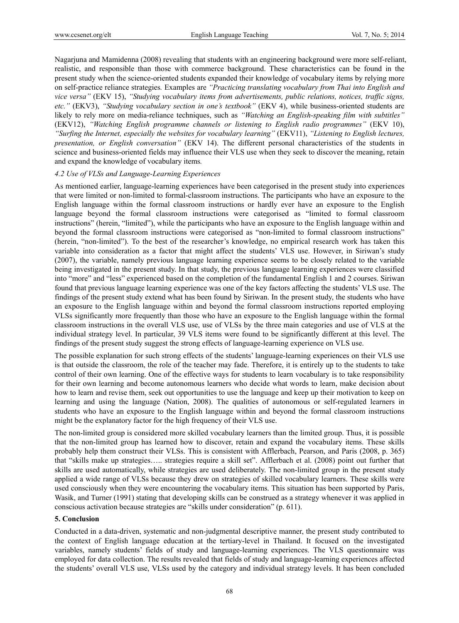Nagarjuna and Mamidenna (2008) revealing that students with an engineering background were more self-reliant, realistic, and responsible than those with commerce background. These characteristics can be found in the present study when the science-oriented students expanded their knowledge of vocabulary items by relying more on self-practice reliance strategies*.* Examples are *"Practicing translating vocabulary from Thai into English and vice versa"* (EKV 15), *"Studying vocabulary items from advertisements, public relations, notices, traffic signs, etc."* (EKV3), *"Studying vocabulary section in one's textbook"* (EKV 4), while business-oriented students are likely to rely more on media-reliance techniques, such as *"Watching an English-speaking film with subtitles"*  (EKV12), *"Watching English programme channels or listening to English radio programmes"* (EKV 10), *"Surfing the Internet, especially the websites for vocabulary learning"* (EKV11), *"Listening to English lectures, presentation, or English conversation"* (EKV 14). The different personal characteristics of the students in science and business-oriented fields may influence their VLS use when they seek to discover the meaning, retain and expand the knowledge of vocabulary items*.* 

#### *4.2 Use of VLSs and Language-Learning Experiences*

As mentioned earlier, language-learning experiences have been categorised in the present study into experiences that were limited or non-limited to formal-classroom instructions. The participants who have an exposure to the English language within the formal classroom instructions or hardly ever have an exposure to the English language beyond the formal classroom instructions were categorised as "limited to formal classroom instructions" (herein, "limited"), while the participants who have an exposure to the English language within and beyond the formal classroom instructions were categorised as "non-limited to formal classroom instructions" (herein, "non-limited"). To the best of the researcher's knowledge, no empirical research work has taken this variable into consideration as a factor that might affect the students' VLS use. However, in Siriwan's study (2007), the variable, namely previous language learning experience seems to be closely related to the variable being investigated in the present study. In that study, the previous language learning experiences were classified into "more" and "less" experienced based on the completion of the fundamental English 1 and 2 courses. Siriwan found that previous language learning experience was one of the key factors affecting the students' VLS use. The findings of the present study extend what has been found by Siriwan. In the present study, the students who have an exposure to the English language within and beyond the formal classroom instructions reported employing VLSs significantly more frequently than those who have an exposure to the English language within the formal classroom instructions in the overall VLS use, use of VLSs by the three main categories and use of VLS at the individual strategy level. In particular, 39 VLS items were found to be significantly different at this level. The findings of the present study suggest the strong effects of language-learning experience on VLS use.

The possible explanation for such strong effects of the students' language-learning experiences on their VLS use is that outside the classroom, the role of the teacher may fade. Therefore, it is entirely up to the students to take control of their own learning. One of the effective ways for students to learn vocabulary is to take responsibility for their own learning and become autonomous learners who decide what words to learn, make decision about how to learn and revise them, seek out opportunities to use the language and keep up their motivation to keep on learning and using the language (Nation, 2008). The qualities of autonomous or self-regulated learners in students who have an exposure to the English language within and beyond the formal classroom instructions might be the explanatory factor for the high frequency of their VLS use.

The non-limited group is considered more skilled vocabulary learners than the limited group. Thus, it is possible that the non-limited group has learned how to discover, retain and expand the vocabulary items. These skills probably help them construct their VLSs. This is consistent with Afflerbach, Pearson, and Paris (2008, p. 365) that "skills make up strategies….. strategies require a skill set". Afflerbach et al. (2008) point out further that skills are used automatically, while strategies are used deliberately. The non-limited group in the present study applied a wide range of VLSs because they drew on strategies of skilled vocabulary learners. These skills were used consciously when they were encountering the vocabulary items. This situation has been supported by Paris, Wasik, and Turner (1991) stating that developing skills can be construed as a strategy whenever it was applied in conscious activation because strategies are "skills under consideration" (p. 611).

### **5. Conclusion**

Conducted in a data-driven, systematic and non-judgmental descriptive manner, the present study contributed to the context of English language education at the tertiary-level in Thailand. It focused on the investigated variables, namely students' fields of study and language-learning experiences. The VLS questionnaire was employed for data collection. The results revealed that fields of study and language-learning experiences affected the students' overall VLS use, VLSs used by the category and individual strategy levels. It has been concluded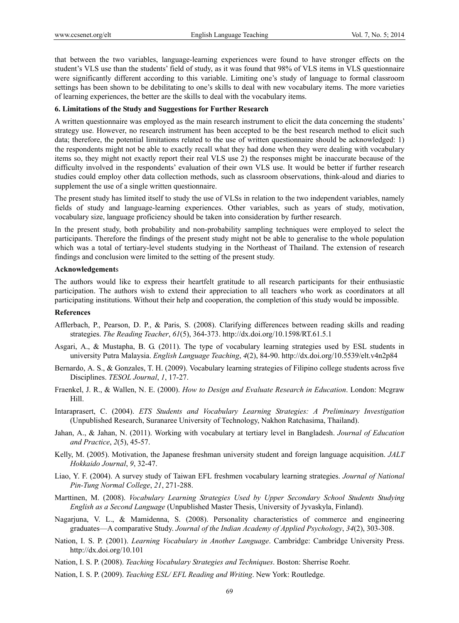that between the two variables, language-learning experiences were found to have stronger effects on the student's VLS use than the students' field of study, as it was found that 98% of VLS items in VLS questionnaire were significantly different according to this variable. Limiting one's study of language to formal classroom settings has been shown to be debilitating to one's skills to deal with new vocabulary items. The more varieties of learning experiences, the better are the skills to deal with the vocabulary items.

#### **6. Limitations of the Study and Suggestions for Further Research**

A written questionnaire was employed as the main research instrument to elicit the data concerning the students' strategy use. However, no research instrument has been accepted to be the best research method to elicit such data; therefore, the potential limitations related to the use of written questionnaire should be acknowledged: 1) the respondents might not be able to exactly recall what they had done when they were dealing with vocabulary items so, they might not exactly report their real VLS use 2) the responses might be inaccurate because of the difficulty involved in the respondents' evaluation of their own VLS use. It would be better if further research studies could employ other data collection methods, such as classroom observations, think-aloud and diaries to supplement the use of a single written questionnaire.

The present study has limited itself to study the use of VLSs in relation to the two independent variables, namely fields of study and language-learning experiences. Other variables, such as years of study, motivation, vocabulary size, language proficiency should be taken into consideration by further research.

In the present study, both probability and non-probability sampling techniques were employed to select the participants. Therefore the findings of the present study might not be able to generalise to the whole population which was a total of tertiary-level students studying in the Northeast of Thailand. The extension of research findings and conclusion were limited to the setting of the present study.

#### **Acknowledgement**s

The authors would like to express their heartfelt gratitude to all research participants for their enthusiastic participation. The authors wish to extend their appreciation to all teachers who work as coordinators at all participating institutions. Without their help and cooperation, the completion of this study would be impossible.

#### **References**

- Afflerbach, P., Pearson, D. P., & Paris, S. (2008). Clarifying differences between reading skills and reading strategies. *The Reading Teacher*, *61*(5), 364-373. http://dx.doi.org/10.1598/RT.61.5.1
- Asgari, A., & Mustapha, B. G. (2011). The type of vocabulary learning strategies used by ESL students in university Putra Malaysia. *English Language Teaching*, *4*(2), 84-90. http://dx.doi.org/10.5539/elt.v4n2p84
- Bernardo, A. S., & Gonzales, T. H. (2009). Vocabulary learning strategies of Filipino college students across five Disciplines. *TESOL Journal*, *1*, 17-27.
- Fraenkel, J. R., & Wallen, N. E. (2000). *How to Design and Evaluate Research in Education*. London: Mcgraw Hill.
- Intaraprasert, C. (2004). *ETS Students and Vocabulary Learning Strategies: A Preliminary Investigation* (Unpublished Research, Suranaree University of Technology, Nakhon Ratchasima, Thailand).
- Jahan, A., & Jahan, N. (2011). Working with vocabulary at tertiary level in Bangladesh. *Journal of Education and Practice*, *2*(5), 45-57.
- Kelly, M. (2005). Motivation, the Japanese freshman university student and foreign language acquisition. *JALT Hokkaido Journal*, *9*, 32-47.
- Liao, Y. F. (2004). A survey study of Taiwan EFL freshmen vocabulary learning strategies. *Journal of National Pin-Tung Normal College*, *21*, 271-288.
- Marttinen, M. (2008). *Vocabulary Learning Strategies Used by Upper Secondary School Students Studying English as a Second Language* (Unpublished Master Thesis, University of Jyvaskyla, Finland).
- Nagarjuna, V. L., & Mamidenna, S. (2008). Personality characteristics of commerce and engineering graduates—A comparative Study. *Journal of the Indian Academy of Applied Psychology*, *34*(2), 303-308.
- Nation, I. S. P. (2001). *Learning Vocabulary in Another Language*. Cambridge: Cambridge University Press. http://dx.doi.org/10.101
- Nation, I. S. P. (2008). *Teaching Vocabulary Strategies and Techniques*. Boston: Sherrise Roehr.
- Nation, I. S. P. (2009). *Teaching ESL/ EFL Reading and Writing*. New York: Routledge.